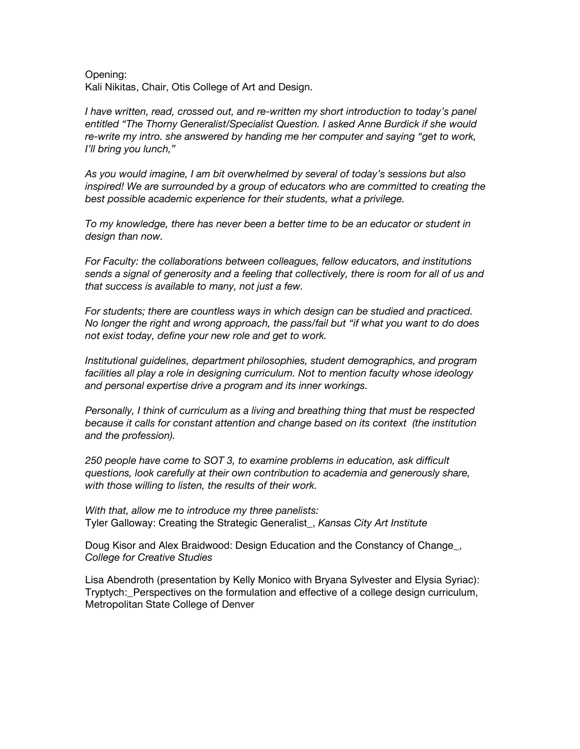Opening: Kali Nikitas, Chair, Otis College of Art and Design.

*I have written, read, crossed out, and re-written my short introduction to today's panel entitled "The Thorny Generalist/Specialist Question. I asked Anne Burdick if she would re-write my intro. she answered by handing me her computer and saying "get to work, I'll bring you lunch,"*

*As you would imagine, I am bit overwhelmed by several of today's sessions but also inspired! We are surrounded by a group of educators who are committed to creating the best possible academic experience for their students, what a privilege.*

*To my knowledge, there has never been a better time to be an educator or student in design than now.* 

*For Faculty: the collaborations between colleagues, fellow educators, and institutions sends a signal of generosity and a feeling that collectively, there is room for all of us and that success is available to many, not just a few.*

*For students; there are countless ways in which design can be studied and practiced. No longer the right and wrong approach, the pass/fail but "if what you want to do does not exist today, define your new role and get to work.*

*Institutional guidelines, department philosophies, student demographics, and program facilities all play a role in designing curriculum. Not to mention faculty whose ideology and personal expertise drive a program and its inner workings.*

*Personally, I think of curriculum as a living and breathing thing that must be respected because it calls for constant attention and change based on its context (the institution and the profession).*

*250 people have come to SOT 3, to examine problems in education, ask difficult questions, look carefully at their own contribution to academia and generously share, with those willing to listen, the results of their work.*

*With that, allow me to introduce my three panelists:* Tyler Galloway: Creating the Strategic Generalist\_, *Kansas City Art Institute*

Doug Kisor and Alex Braidwood: Design Education and the Constancy of Change\_, *College for Creative Studies*

Lisa Abendroth (presentation by Kelly Monico with Bryana Sylvester and Elysia Syriac): Tryptych: Perspectives on the formulation and effective of a college design curriculum, Metropolitan State College of Denver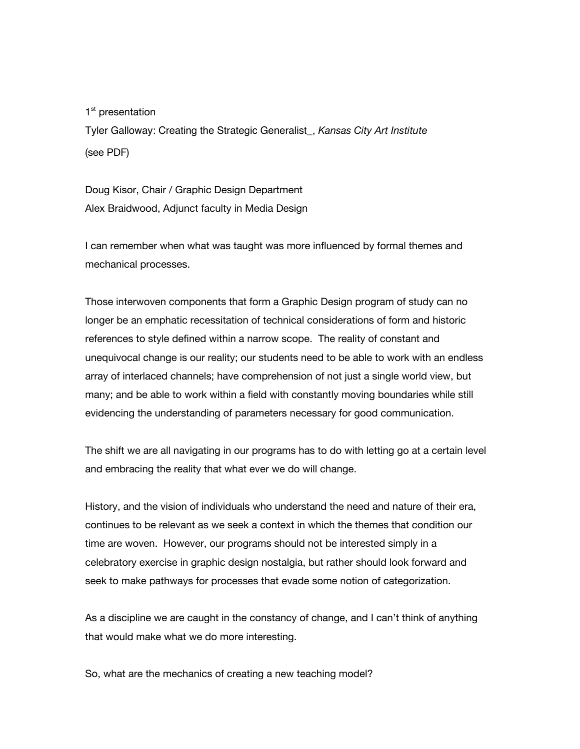1<sup>st</sup> presentation

Tyler Galloway: Creating the Strategic Generalist\_, *Kansas City Art Institute* (see PDF)

Doug Kisor, Chair / Graphic Design Department Alex Braidwood, Adjunct faculty in Media Design

I can remember when what was taught was more influenced by formal themes and mechanical processes.

Those interwoven components that form a Graphic Design program of study can no longer be an emphatic recessitation of technical considerations of form and historic references to style defined within a narrow scope. The reality of constant and unequivocal change is our reality; our students need to be able to work with an endless array of interlaced channels; have comprehension of not just a single world view, but many; and be able to work within a field with constantly moving boundaries while still evidencing the understanding of parameters necessary for good communication.

The shift we are all navigating in our programs has to do with letting go at a certain level and embracing the reality that what ever we do will change.

History, and the vision of individuals who understand the need and nature of their era, continues to be relevant as we seek a context in which the themes that condition our time are woven. However, our programs should not be interested simply in a celebratory exercise in graphic design nostalgia, but rather should look forward and seek to make pathways for processes that evade some notion of categorization.

As a discipline we are caught in the constancy of change, and I can't think of anything that would make what we do more interesting.

So, what are the mechanics of creating a new teaching model?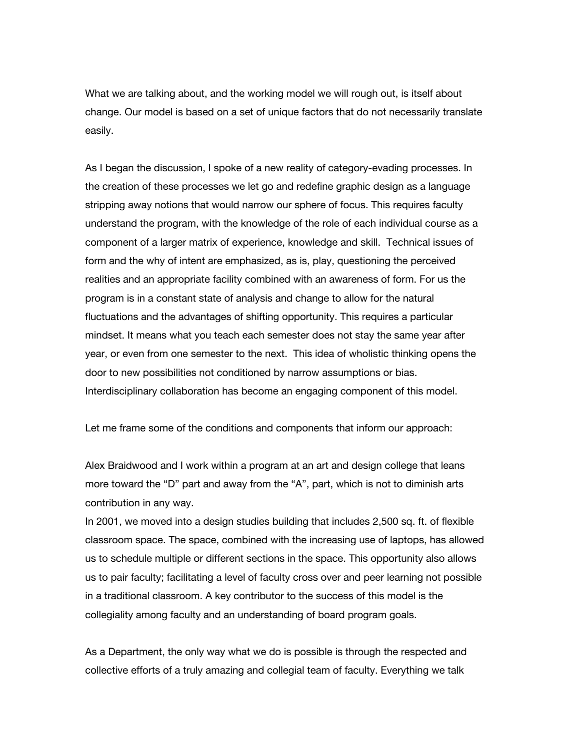What we are talking about, and the working model we will rough out, is itself about change. Our model is based on a set of unique factors that do not necessarily translate easily.

As I began the discussion, I spoke of a new reality of category-evading processes. In the creation of these processes we let go and redefine graphic design as a language stripping away notions that would narrow our sphere of focus. This requires faculty understand the program, with the knowledge of the role of each individual course as a component of a larger matrix of experience, knowledge and skill. Technical issues of form and the why of intent are emphasized, as is, play, questioning the perceived realities and an appropriate facility combined with an awareness of form. For us the program is in a constant state of analysis and change to allow for the natural fluctuations and the advantages of shifting opportunity. This requires a particular mindset. It means what you teach each semester does not stay the same year after year, or even from one semester to the next. This idea of wholistic thinking opens the door to new possibilities not conditioned by narrow assumptions or bias. Interdisciplinary collaboration has become an engaging component of this model.

Let me frame some of the conditions and components that inform our approach:

Alex Braidwood and I work within a program at an art and design college that leans more toward the "D" part and away from the "A", part, which is not to diminish arts contribution in any way.

In 2001, we moved into a design studies building that includes 2,500 sq. ft. of flexible classroom space. The space, combined with the increasing use of laptops, has allowed us to schedule multiple or different sections in the space. This opportunity also allows us to pair faculty; facilitating a level of faculty cross over and peer learning not possible in a traditional classroom. A key contributor to the success of this model is the collegiality among faculty and an understanding of board program goals.

As a Department, the only way what we do is possible is through the respected and collective efforts of a truly amazing and collegial team of faculty. Everything we talk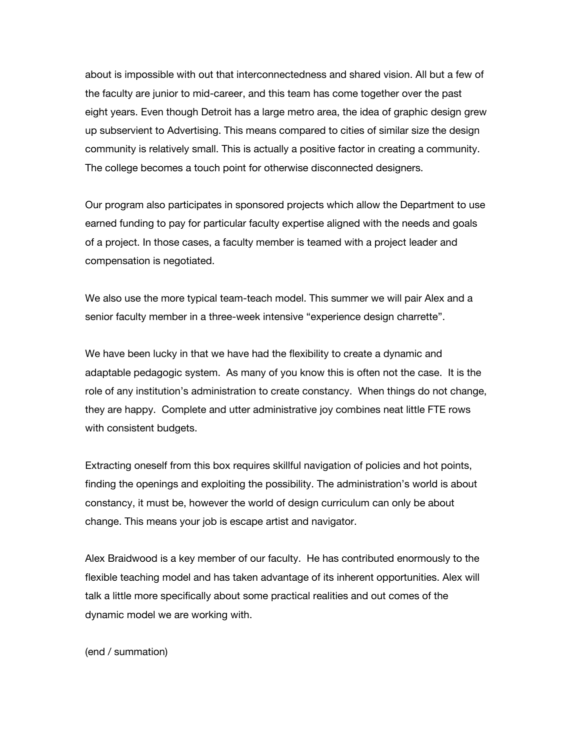about is impossible with out that interconnectedness and shared vision. All but a few of the faculty are junior to mid-career, and this team has come together over the past eight years. Even though Detroit has a large metro area, the idea of graphic design grew up subservient to Advertising. This means compared to cities of similar size the design community is relatively small. This is actually a positive factor in creating a community. The college becomes a touch point for otherwise disconnected designers.

Our program also participates in sponsored projects which allow the Department to use earned funding to pay for particular faculty expertise aligned with the needs and goals of a project. In those cases, a faculty member is teamed with a project leader and compensation is negotiated.

We also use the more typical team-teach model. This summer we will pair Alex and a senior faculty member in a three-week intensive "experience design charrette".

We have been lucky in that we have had the flexibility to create a dynamic and adaptable pedagogic system. As many of you know this is often not the case. It is the role of any institution's administration to create constancy. When things do not change, they are happy. Complete and utter administrative joy combines neat little FTE rows with consistent budgets.

Extracting oneself from this box requires skillful navigation of policies and hot points, finding the openings and exploiting the possibility. The administration's world is about constancy, it must be, however the world of design curriculum can only be about change. This means your job is escape artist and navigator.

Alex Braidwood is a key member of our faculty. He has contributed enormously to the flexible teaching model and has taken advantage of its inherent opportunities. Alex will talk a little more specifically about some practical realities and out comes of the dynamic model we are working with.

(end / summation)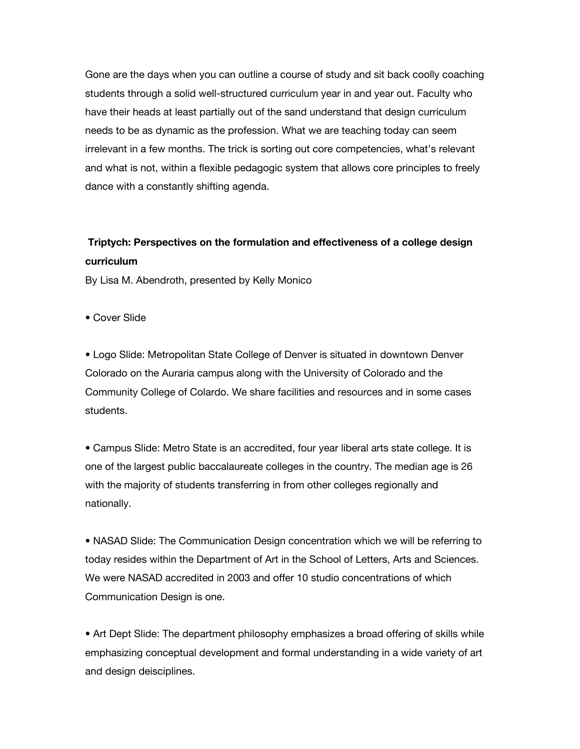Gone are the days when you can outline a course of study and sit back coolly coaching students through a solid well-structured curriculum year in and year out. Faculty who have their heads at least partially out of the sand understand that design curriculum needs to be as dynamic as the profession. What we are teaching today can seem irrelevant in a few months. The trick is sorting out core competencies, what's relevant and what is not, within a flexible pedagogic system that allows core principles to freely dance with a constantly shifting agenda.

## **Triptych: Perspectives on the formulation and effectiveness of a college design curriculum**

By Lisa M. Abendroth, presented by Kelly Monico

• Cover Slide

• Logo Slide: Metropolitan State College of Denver is situated in downtown Denver Colorado on the Auraria campus along with the University of Colorado and the Community College of Colardo. We share facilities and resources and in some cases students.

• Campus Slide: Metro State is an accredited, four year liberal arts state college. It is one of the largest public baccalaureate colleges in the country. The median age is 26 with the majority of students transferring in from other colleges regionally and nationally.

• NASAD Slide: The Communication Design concentration which we will be referring to today resides within the Department of Art in the School of Letters, Arts and Sciences. We were NASAD accredited in 2003 and offer 10 studio concentrations of which Communication Design is one.

• Art Dept Slide: The department philosophy emphasizes a broad offering of skills while emphasizing conceptual development and formal understanding in a wide variety of art and design deisciplines.